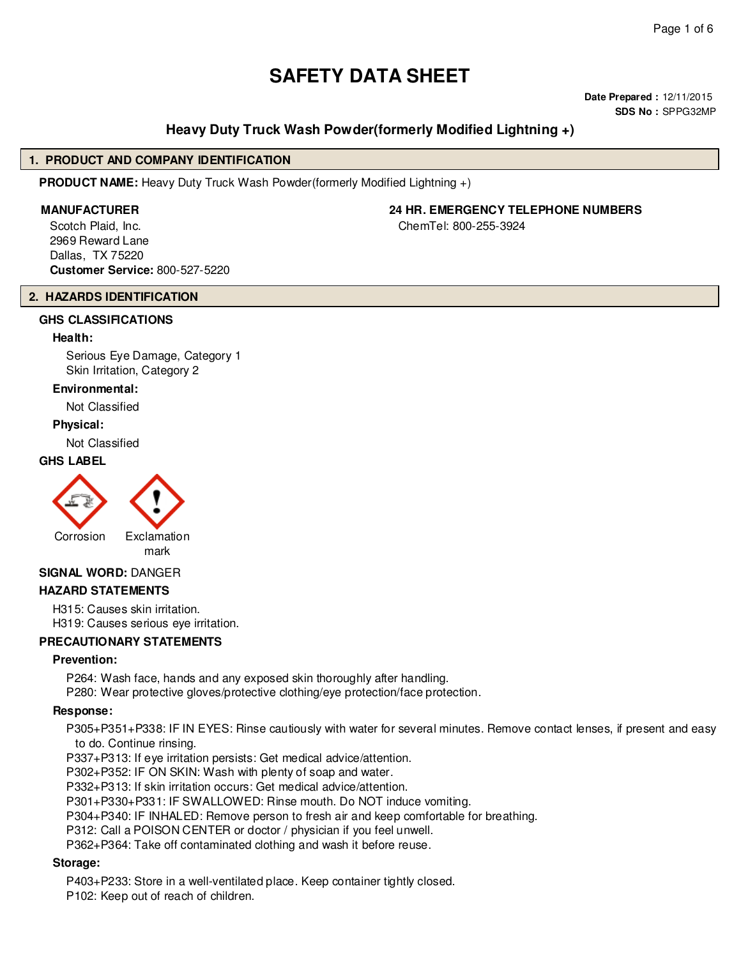# **SAFETY DATA SHEET**

**Date Prepared :** 12/11/2015 **SDS No :** SPPG32MP

# **Heavy Duty Truck Wash Powder(formerly Modified Lightning +)**

#### **1. PRODUCT AND COMPANY IDENTIFICATION**

**PRODUCT NAME:** Heavy Duty Truck Wash Powder(formerly Modified Lightning +)

Scotch Plaid, Inc. 2969 Reward Lane Dallas, TX 75220 **Customer Service:** 800-527-5220

# **2. HAZARDS IDENTIFICATION**

# **GHS CLASSIFICATIONS**

#### **Health:**

Serious Eye Damage, Category 1 Skin Irritation, Category 2

# **Environmental:**

Not Classified

#### **Physical:**

Not Classified

#### **GHS LABEL**



mark

# **SIGNAL WORD:** DANGER

#### **HAZARD STATEMENTS**

H315: Causes skin irritation. H319: Causes serious eye irritation.

#### **PRECAUTIONARY STATEMENTS**

#### **Prevention:**

P264: Wash face, hands and any exposed skin thoroughly after handling.

P280: Wear protective gloves/protective clothing/eye protection/face protection.

#### **Response:**

P305+P351+P338: IF IN EYES: Rinse cautiously with water for several minutes. Remove contact lenses, if present and easy to do. Continue rinsing.

P337+P313: If eye irritation persists: Get medical advice/attention.

P302+P352: IF ON SKIN: Wash with plenty of soap and water.

P332+P313: If skin irritation occurs: Get medical advice/attention.

P301+P330+P331: IF SWALLOWED: Rinse mouth. Do NOT induce vomiting.

P304+P340: IF INHALED: Remove person to fresh air and keep comfortable for breathing.

P312: Call a POISON CENTER or doctor / physician if you feel unwell.

P362+P364: Take off contaminated clothing and wash it before reuse.

#### **Storage:**

P403+P233: Store in a well-ventilated place. Keep container tightly closed.

P102: Keep out of reach of children.

#### **MANUFACTURER 24 HR. EMERGENCY TELEPHONE NUMBERS**

ChemTel: 800-255-3924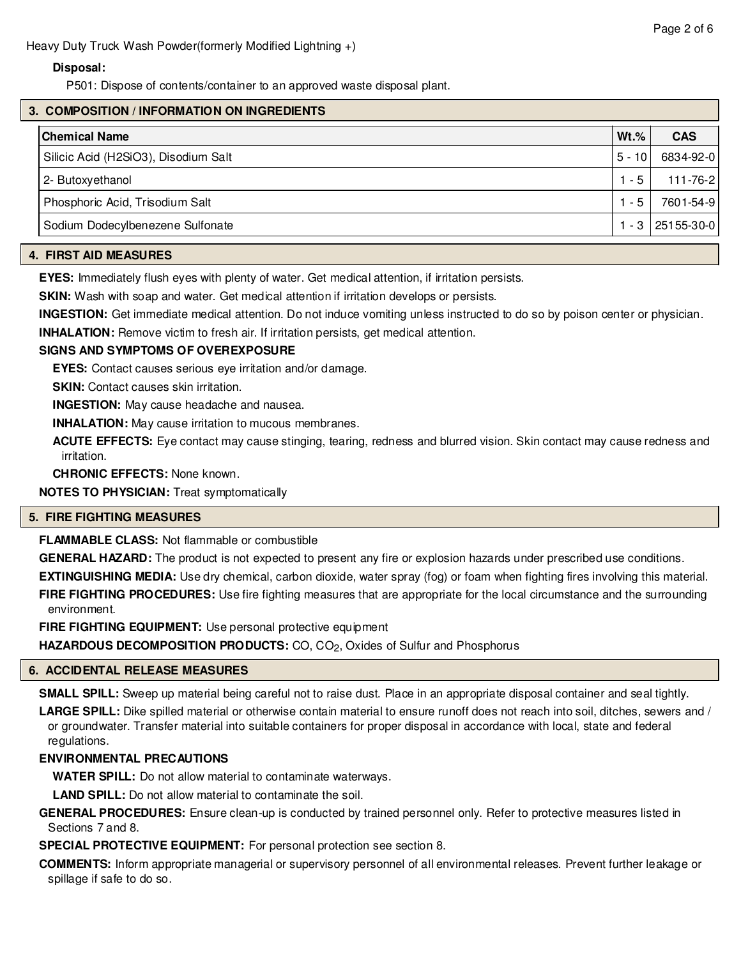Heavy Duty Truck Wash Powder(formerly Modified Lightning +)

# **Disposal:**

P501: Dispose of contents/container to an approved waste disposal plant.

# **3. COMPOSITION / INFORMATION ON INGREDIENTS**

| $5 - 10$<br>Silicic Acid (H2SiO3), Disodium Salt<br>$1 - 5$<br>2- Butoxyethanol<br>Phosphoric Acid, Trisodium Salt<br>$1 - 5$ | Chemical Name | $Wt.\%$<br><b>CAS</b> |
|-------------------------------------------------------------------------------------------------------------------------------|---------------|-----------------------|
|                                                                                                                               |               | 6834-92-0             |
|                                                                                                                               |               | 111-76-2              |
|                                                                                                                               |               | 7601-54-9             |
| Sodium Dodecylbenezene Sulfonate                                                                                              |               | $1 - 3$   25155-30-0  |

#### **4. FIRST AID MEASURES**

**EYES:** Immediately flush eyes with plenty of water. Get medical attention, if irritation persists.

**SKIN:** Wash with soap and water. Get medical attention if irritation develops or persists.

**INGESTION:** Get immediate medical attention. Do not induce vomiting unless instructed to do so by poison center or physician.

**INHALATION:** Remove victim to fresh air. If irritation persists, get medical attention.

# **SIGNS AND SYMPTOMS OF OVEREXPOSURE**

**EYES:** Contact causes serious eye irritation and/or damage.

**SKIN:** Contact causes skin irritation.

**INGESTION:** May cause headache and nausea.

**INHALATION:** May cause irritation to mucous membranes.

**ACUTE EFFECTS:** Eye contact may cause stinging, tearing, redness and blurred vision. Skin contact may cause redness and irritation.

**CHRONIC EFFECTS:** None known.

**NOTES TO PHYSICIAN:** Treat symptomatically

#### **5. FIRE FIGHTING MEASURES**

**FLAMMABLE CLASS:** Not flammable or combustible

**GENERAL HAZARD:** The product is not expected to present any fire or explosion hazards under prescribed use conditions.

**EXTINGUISHING MEDIA:** Use dry chemical, carbon dioxide, water spray (fog) or foam when fighting fires involving this material. **FIRE FIGHTING PROCEDURES:** Use fire fighting measures that are appropriate for the local circumstance and the surrounding environment.

**FIRE FIGHTING EQUIPMENT:** Use personal protective equipment

HAZARDOUS DECOMPOSITION PRODUCTS: CO, CO<sub>2</sub>, Oxides of Sulfur and Phosphorus

# **6. ACCIDENTAL RELEASE MEASURES**

**SMALL SPILL:** Sweep up material being careful not to raise dust. Place in an appropriate disposal container and seal tightly. **LARGE SPILL:** Dike spilled material or otherwise contain material to ensure runoff does not reach into soil, ditches, sewers and / or groundwater. Transfer material into suitable containers for proper disposal in accordance with local, state and federal regulations.

# **ENVIRONMENTAL PRECAUTIONS**

**WATER SPILL:** Do not allow material to contaminate waterways.

**LAND SPILL:** Do not allow material to contaminate the soil.

**GENERAL PROCEDURES:** Ensure clean-up is conducted by trained personnel only. Refer to protective measures listed in Sections 7 and 8.

**SPECIAL PROTECTIVE EQUIPMENT:** For personal protection see section 8.

**COMMENTS:** Inform appropriate managerial or supervisory personnel of all environmental releases. Prevent further leakage or spillage if safe to do so.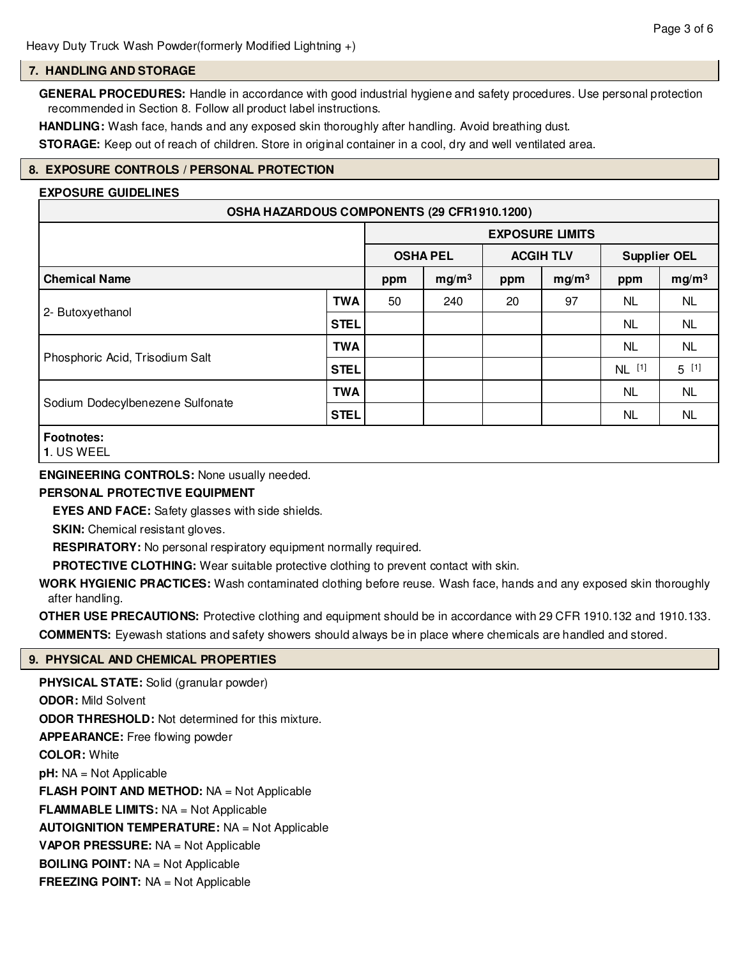#### **7. HANDLING AND STORAGE**

**GENERAL PROCEDURES:** Handle in accordance with good industrial hygiene and safety procedures. Use personal protection recommended in Section 8. Follow all product label instructions.

**HANDLING:** Wash face, hands and any exposed skin thoroughly after handling. Avoid breathing dust.

**STORAGE:** Keep out of reach of children. Store in original container in a cool, dry and well ventilated area.

# **8. EXPOSURE CONTROLS / PERSONAL PROTECTION**

#### **EXPOSURE GUIDELINES**

| OSHA HAZARDOUS COMPONENTS (29 CFR1910.1200) |                                                      |                        |     |                   |    |                     |           |
|---------------------------------------------|------------------------------------------------------|------------------------|-----|-------------------|----|---------------------|-----------|
|                                             |                                                      | <b>EXPOSURE LIMITS</b> |     |                   |    |                     |           |
|                                             |                                                      | <b>OSHA PEL</b>        |     | <b>ACGIH TLV</b>  |    | <b>Supplier OEL</b> |           |
| <b>Chemical Name</b>                        | mg/m <sup>3</sup><br>mg/m <sup>3</sup><br>ppm<br>ppm |                        | ppm | mg/m <sup>3</sup> |    |                     |           |
| 2- Butoxyethanol                            | <b>TWA</b>                                           | 50                     | 240 | 20                | 97 | <b>NL</b>           | <b>NL</b> |
|                                             | <b>STEL</b>                                          |                        |     |                   |    | NL                  | <b>NL</b> |
| Phosphoric Acid, Trisodium Salt             | <b>TWA</b>                                           |                        |     |                   |    | <b>NL</b>           | <b>NL</b> |
|                                             | <b>STEL</b>                                          |                        |     |                   |    | NL [1]              | $5^{[1]}$ |
| Sodium Dodecylbenezene Sulfonate            | <b>TWA</b>                                           |                        |     |                   |    | <b>NL</b>           | <b>NL</b> |
|                                             | <b>STEL</b>                                          |                        |     |                   |    | <b>NL</b>           | <b>NL</b> |
| <b>Footnotes:</b>                           |                                                      |                        |     |                   |    |                     |           |

**<sup>1</sup>**. US WEEL

#### **ENGINEERING CONTROLS:** None usually needed.

#### **PERSONAL PROTECTIVE EQUIPMENT**

**EYES AND FACE:** Safety glasses with side shields.

**SKIN:** Chemical resistant gloves.

**RESPIRATORY:** No personal respiratory equipment normally required.

**PROTECTIVE CLOTHING:** Wear suitable protective clothing to prevent contact with skin.

**WORK HYGIENIC PRACTICES:** Wash contaminated clothing before reuse. Wash face, hands and any exposed skin thoroughly after handling.

**OTHER USE PRECAUTIONS:** Protective clothing and equipment should be in accordance with 29 CFR 1910.132 and 1910.133. **COMMENTS:** Eyewash stations and safety showers should always be in place where chemicals are handled and stored.

#### **9. PHYSICAL AND CHEMICAL PROPERTIES**

**PHYSICAL STATE:** Solid (granular powder) **ODOR:** Mild Solvent **ODOR THRESHOLD:** Not determined for this mixture. **APPEARANCE:** Free flowing powder **COLOR:** White **pH:** NA = Not Applicable **FLASH POINT AND METHOD:** NA = Not Applicable **FLAMMABLE LIMITS:** NA = Not Applicable **AUTOIGNITION TEMPERATURE:** NA = Not Applicable **VAPOR PRESSURE:** NA = Not Applicable **BOILING POINT:** NA = Not Applicable **FREEZING POINT:** NA = Not Applicable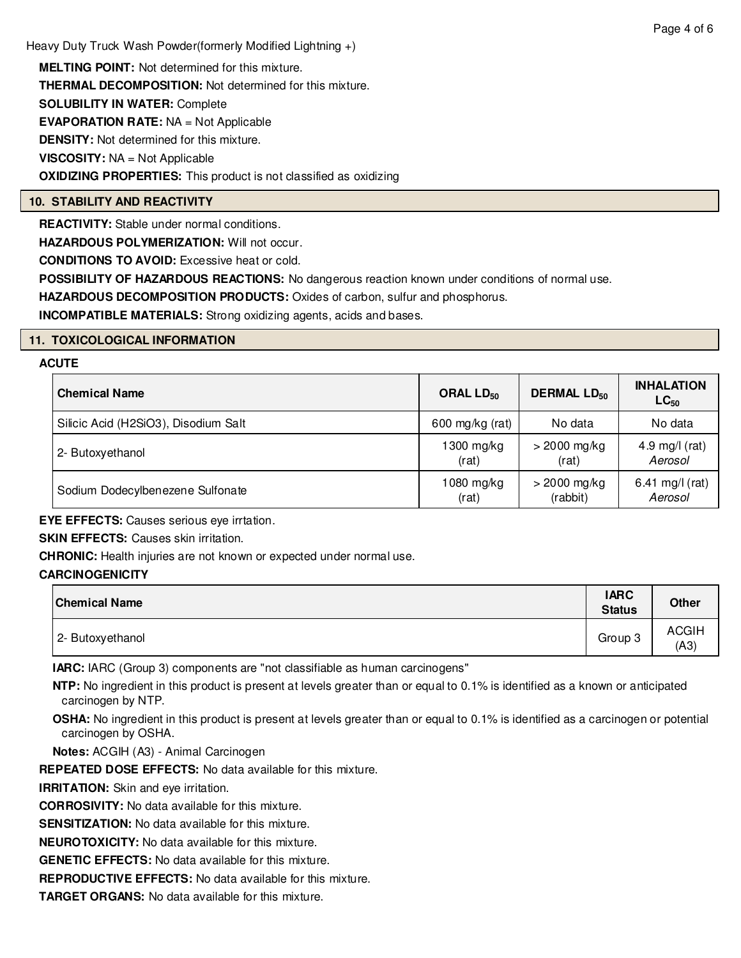Heavy Duty Truck Wash Powder(formerly Modified Lightning +)

**MELTING POINT:** Not determined for this mixture. **THERMAL DECOMPOSITION:** Not determined for this mixture. **SOLUBILITY IN WATER:** Complete **EVAPORATION RATE:** NA = Not Applicable **DENSITY:** Not determined for this mixture. **VISCOSITY:** NA = Not Applicable **OXIDIZING PROPERTIES:** This product is not classified as oxidizing

# **10. STABILITY AND REACTIVITY**

**REACTIVITY:** Stable under normal conditions.

**HAZARDOUS POLYMERIZATION:** Will not occur.

**CONDITIONS TO AVOID:** Excessive heat or cold.

**POSSIBILITY OF HAZARDOUS REACTIONS:** No dangerous reaction known under conditions of normal use.

**HAZARDOUS DECOMPOSITION PRODUCTS:** Oxides of carbon, sulfur and phosphorus.

**INCOMPATIBLE MATERIALS:** Strong oxidizing agents, acids and bases.

# **11. TOXICOLOGICAL INFORMATION**

#### **ACUTE**

| <b>Chemical Name</b>                 | ORAL $LD_{50}$  | <b>DERMAL LD<sub>50</sub></b> | <b>INHALATION</b><br>$LC_{50}$ |  |
|--------------------------------------|-----------------|-------------------------------|--------------------------------|--|
| Silicic Acid (H2SiO3), Disodium Salt | 600 mg/kg (rat) | No data                       | No data                        |  |
| 2- Butoxyethanol                     | 1300 mg/kg      | $>$ 2000 mg/kg                | 4.9 mg/l $(rat)$               |  |
|                                      | (rat)           | (rat)                         | Aerosol                        |  |
| Sodium Dodecylbenezene Sulfonate     | 1080 mg/kg      | $>$ 2000 mg/kg                | 6.41 mg/l (rat)                |  |
|                                      | (rat)           | (rabbit)                      | Aerosol                        |  |

**EYE EFFECTS:** Causes serious eye irrtation.

**SKIN EFFECTS: Causes skin irritation.** 

**CHRONIC:** Health injuries are not known or expected under normal use.

# **CARCINOGENICITY**

| <b>Chemical Name</b> | <b>IARC</b><br><b>Status</b> | <b>Other</b>         |
|----------------------|------------------------------|----------------------|
| 2- Butoxyethanol     | Group 3                      | <b>ACGIH</b><br>(A3) |

**IARC:** IARC (Group 3) components are "not classifiable as human carcinogens"

**NTP:** No ingredient in this product is present at levels greater than or equal to 0.1% is identified as a known or anticipated carcinogen by NTP.

**OSHA:** No ingredient in this product is present at levels greater than or equal to 0.1% is identified as a carcinogen or potential carcinogen by OSHA.

**Notes:** ACGIH (A3) - Animal Carcinogen

**REPEATED DOSE EFFECTS:** No data available for this mixture.

**IRRITATION:** Skin and eye irritation.

**CORROSIVITY:** No data available for this mixture.

**SENSITIZATION:** No data available for this mixture.

**NEUROTOXICITY:** No data available for this mixture.

**GENETIC EFFECTS:** No data available for this mixture.

**REPRODUCTIVE EFFECTS:** No data available for this mixture.

**TARGET ORGANS:** No data available for this mixture.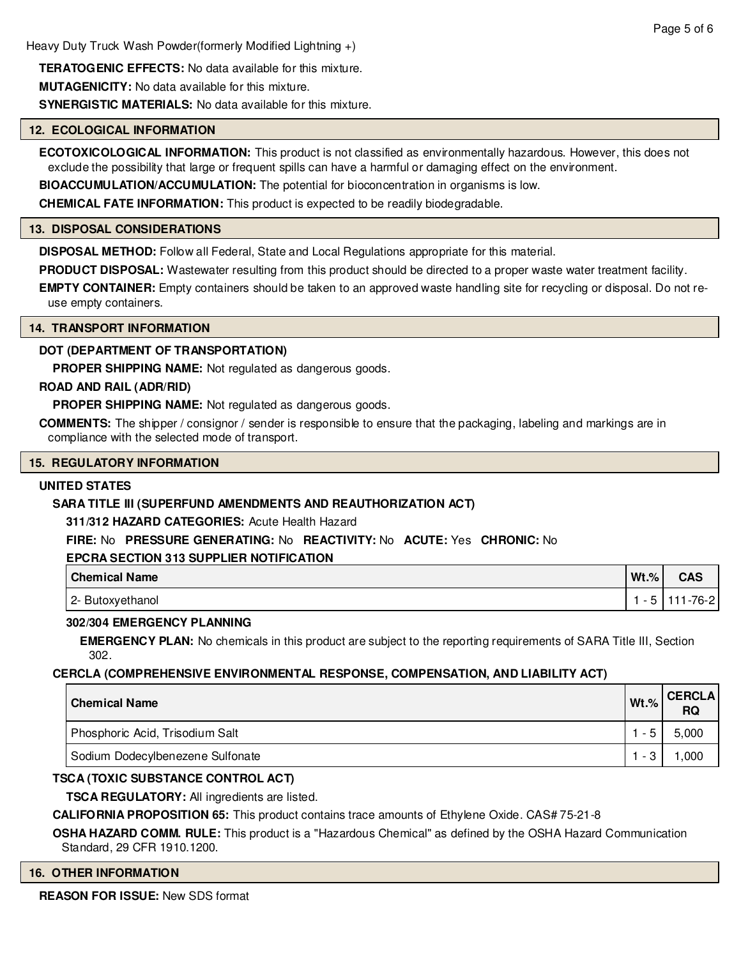**TERATOGENIC EFFECTS:** No data available for this mixture. **MUTAGENICITY:** No data available for this mixture.

**SYNERGISTIC MATERIALS:** No data available for this mixture.

# **12. ECOLOGICAL INFORMATION**

**ECOTOXICOLOGICAL INFORMATION:** This product is not classified as environmentally hazardous. However, this does not exclude the possibility that large or frequent spills can have a harmful or damaging effect on the environment.

**BIOACCUMULATION/ACCUMULATION:** The potential for bioconcentration in organisms is low.

**CHEMICAL FATE INFORMATION:** This product is expected to be readily biodegradable.

### **13. DISPOSAL CONSIDERATIONS**

**DISPOSAL METHOD:** Follow all Federal, State and Local Regulations appropriate for this material.

**PRODUCT DISPOSAL:** Wastewater resulting from this product should be directed to a proper waste water treatment facility.

**EMPTY CONTAINER:** Empty containers should be taken to an approved waste handling site for recycling or disposal. Do not reuse empty containers.

#### **14. TRANSPORT INFORMATION**

# **DOT (DEPARTMENT OF TRANSPORTATION)**

**PROPER SHIPPING NAME:** Not regulated as dangerous goods.

# **ROAD AND RAIL (ADR/RID)**

**PROPER SHIPPING NAME:** Not regulated as dangerous goods.

**COMMENTS:** The shipper / consignor / sender is responsible to ensure that the packaging, labeling and markings are in compliance with the selected mode of transport.

#### **15. REGULATORY INFORMATION**

# **UNITED STATES**

# **SARA TITLE III (SUPERFUND AMENDMENTS AND REAUTHORIZATION ACT)**

**311/312 HAZARD CATEGORIES:** Acute Health Hazard

**FIRE:** No **PRESSURE GENERATING:** No **REACTIVITY:** No **ACUTE:** Yes **CHRONIC:** No

#### **EPCRA SECTION 313 SUPPLIER NOTIFICATION**

| <b>Chemical Name</b> | $Wt.$ % | <b>CAS</b> |
|----------------------|---------|------------|
| 2- Butoxyethanol     |         | -76-21     |

# **302/304 EMERGENCY PLANNING**

**EMERGENCY PLAN:** No chemicals in this product are subject to the reporting requirements of SARA Title III, Section 302.

# **CERCLA (COMPREHENSIVE ENVIRONMENTAL RESPONSE, COMPENSATION, AND LIABILITY ACT)**

| <b>Chemical Name</b>             | $Wt.$ % | <b>CERCLA</b><br><b>RQ</b> |
|----------------------------------|---------|----------------------------|
| Phosphoric Acid, Trisodium Salt  |         | 5,000                      |
| Sodium Dodecylbenezene Sulfonate | - 3     | ,000                       |

# **TSCA (TOXIC SUBSTANCE CONTROL ACT)**

**TSCA REGULATORY:** All ingredients are listed.

**CALIFORNIA PROPOSITION 65:** This product contains trace amounts of Ethylene Oxide. CAS# 75-21-8

**OSHA HAZARD COMM. RULE:** This product is a "Hazardous Chemical" as defined by the OSHA Hazard Communication Standard, 29 CFR 1910.1200.

#### **16. OTHER INFORMATION**